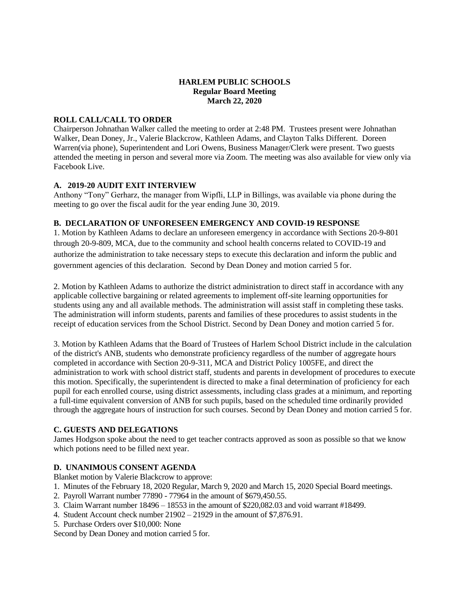# **HARLEM PUBLIC SCHOOLS Regular Board Meeting March 22, 2020**

# **ROLL CALL/CALL TO ORDER**

Chairperson Johnathan Walker called the meeting to order at 2:48 PM. Trustees present were Johnathan Walker, Dean Doney, Jr., Valerie Blackcrow, Kathleen Adams, and Clayton Talks Different. Doreen Warren(via phone), Superintendent and Lori Owens, Business Manager/Clerk were present. Two guests attended the meeting in person and several more via Zoom. The meeting was also available for view only via Facebook Live.

# **A. 2019-20 AUDIT EXIT INTERVIEW**

Anthony "Tony" Gerharz, the manager from Wipfli, LLP in Billings, was available via phone during the meeting to go over the fiscal audit for the year ending June 30, 2019.

# **B. DECLARATION OF UNFORESEEN EMERGENCY AND COVID-19 RESPONSE**

1. Motion by Kathleen Adams to declare an unforeseen emergency in accordance with Sections 20-9-801 through 20-9-809, MCA, due to the community and school health concerns related to COVID-19 and authorize the administration to take necessary steps to execute this declaration and inform the public and government agencies of this declaration. Second by Dean Doney and motion carried 5 for.

2. Motion by Kathleen Adams to authorize the district administration to direct staff in accordance with any applicable collective bargaining or related agreements to implement off-site learning opportunities for students using any and all available methods. The administration will assist staff in completing these tasks. The administration will inform students, parents and families of these procedures to assist students in the receipt of education services from the School District. Second by Dean Doney and motion carried 5 for.

3. Motion by Kathleen Adams that the Board of Trustees of Harlem School District include in the calculation of the district's ANB, students who demonstrate proficiency regardless of the number of aggregate hours completed in accordance with Section 20-9-311, MCA and District Policy 1005FE, and direct the administration to work with school district staff, students and parents in development of procedures to execute this motion. Specifically, the superintendent is directed to make a final determination of proficiency for each pupil for each enrolled course, using district assessments, including class grades at a minimum, and reporting a full-time equivalent conversion of ANB for such pupils, based on the scheduled time ordinarily provided through the aggregate hours of instruction for such courses. Second by Dean Doney and motion carried 5 for.

# **C. GUESTS AND DELEGATIONS**

James Hodgson spoke about the need to get teacher contracts approved as soon as possible so that we know which potions need to be filled next year.

# **D. UNANIMOUS CONSENT AGENDA**

Blanket motion by Valerie Blackcrow to approve:

- 1. Minutes of the February 18, 2020 Regular, March 9, 2020 and March 15, 2020 Special Board meetings.
- 2. Payroll Warrant number 77890 77964 in the amount of \$679,450.55.
- 3. Claim Warrant number 18496 18553 in the amount of \$220,082.03 and void warrant #18499.
- 4. Student Account check number 21902 21929 in the amount of \$7,876.91.
- 5. Purchase Orders over \$10,000: None

Second by Dean Doney and motion carried 5 for.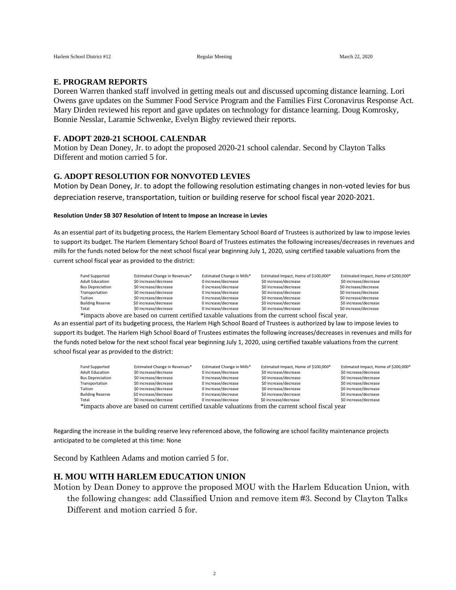#### **E. PROGRAM REPORTS**

Doreen Warren thanked staff involved in getting meals out and discussed upcoming distance learning. Lori Owens gave updates on the Summer Food Service Program and the Families First Coronavirus Response Act. Mary Dirden reviewed his report and gave updates on technology for distance learning. Doug Komrosky, Bonnie Nesslar, Laramie Schwenke, Evelyn Bigby reviewed their reports.

#### **F. ADOPT 2020-21 SCHOOL CALENDAR**

Motion by Dean Doney, Jr. to adopt the proposed 2020-21 school calendar. Second by Clayton Talks Different and motion carried 5 for.

### **G. ADOPT RESOLUTION FOR NONVOTED LEVIES**

Motion by Dean Doney, Jr. to adopt the following resolution estimating changes in non-voted levies for bus depreciation reserve, transportation, tuition or building reserve for school fiscal year 2020-2021.

#### **Resolution Under SB 307 Resolution of Intent to Impose an Increase in Levies**

As an essential part of its budgeting process, the Harlem Elementary School Board of Trustees is authorized by law to impose levies to support its budget. The Harlem Elementary School Board of Trustees estimates the following increases/decreases in revenues and mills for the funds noted below for the next school fiscal year beginning July 1, 2020, using certified taxable valuations from the current school fiscal year as provided to the district:

| <b>Fund Supported</b>   | Estimated Change in Revenues* | Estimated Change in Mills* | Estimated Impact, Home of \$100,000* | Estimated Impact, Home of \$200,000* |
|-------------------------|-------------------------------|----------------------------|--------------------------------------|--------------------------------------|
| <b>Adult Education</b>  | \$0 increase/decrease         | 0 increase/decrease        | \$0 increase/decrease                | \$0 increase/decrease                |
| <b>Bus Depreciation</b> | \$0 increase/decrease         | 0 increase/decrease        | \$0 increase/decrease                | \$0 increase/decrease                |
| Transportation          | \$0 increase/decrease         | 0 increase/decrease        | \$0 increase/decrease                | \$0 increase/decrease                |
| Tuition                 | \$0 increase/decrease         | 0 increase/decrease        | \$0 increase/decrease                | \$0 increase/decrease                |
| <b>Building Reserve</b> | \$0 increase/decrease         | 0 increase/decrease        | \$0 increase/decrease                | \$0 increase/decrease                |
| Total                   | \$0 increase/decrease         | 0 increase/decrease        | \$0 increase/decrease                | \$0 increase/decrease                |

\*impacts above are based on current certified taxable valuations from the current school fiscal year. As an essential part of its budgeting process, the Harlem High School Board of Trustees is authorized by law to impose levies to support its budget. The Harlem High School Board of Trustees estimates the following increases/decreases in revenues and mills for the funds noted below for the next school fiscal year beginning July 1, 2020, using certified taxable valuations from the current school fiscal year as provided to the district:

| <b>Fund Supported</b>   | Estimated Change in Revenues* | Estimated Change in Mills* | Estimated Impact, Home of \$100,000* | Estimated Impact, Home of \$200,000* |
|-------------------------|-------------------------------|----------------------------|--------------------------------------|--------------------------------------|
| <b>Adult Education</b>  | \$0 increase/decrease         | 0 increase/decrease        | \$0 increase/decrease                | \$0 increase/decrease                |
| <b>Bus Depreciation</b> | \$0 increase/decrease         | 0 increase/decrease        | \$0 increase/decrease                | \$0 increase/decrease                |
| Transportation          | \$0 increase/decrease         | 0 increase/decrease        | \$0 increase/decrease                | \$0 increase/decrease                |
| Tuition                 | \$0 increase/decrease         | 0 increase/decrease        | \$0 increase/decrease                | \$0 increase/decrease                |
| <b>Building Reserve</b> | \$0 increase/decrease         | 0 increase/decrease        | \$0 increase/decrease                | \$0 increase/decrease                |
| Total                   | \$0 increase/decrease         | 0 increase/decrease        | \$0 increase/decrease                | \$0 increase/decrease                |
| $\cdots$                |                               |                            |                                      |                                      |

\*impacts above are based on current certified taxable valuations from the current school fiscal year

Regarding the increase in the building reserve levy referenced above, the following are school facility maintenance projects anticipated to be completed at this time: None

Second by Kathleen Adams and motion carried 5 for.

# **H. MOU WITH HARLEM EDUCATION UNION**

Motion by Dean Doney to approve the proposed MOU with the Harlem Education Union, with the following changes: add Classified Union and remove item #3. Second by Clayton Talks Different and motion carried 5 for.